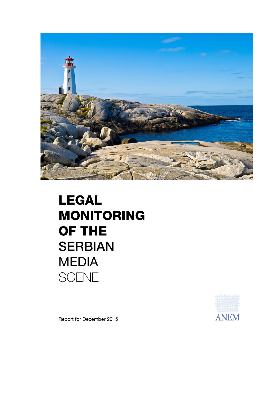

## **LEGAL MONITORING** OF THE **SERBIAN MEDIA SCENE**



Report for December 2015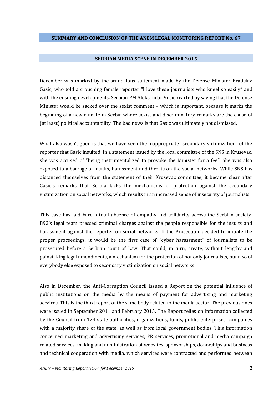## **SERBIAN MEDIA SCENE IN DECEMBER 2015**

December was marked by the scandalous statement made by the Defense Minister Bratislav Gasic, who told a crouching female reporter "I love these journalists who kneel so easily" and with the ensuing developments. Serbian PM Aleksandar Vucic reacted by saying that the Defense Minister would be sacked over the sexist comment – which is important, because it marks the beginning of a new climate in Serbia where sexist and discriminatory remarks are the cause of (at least) political accountability. The bad news is that Gasic was ultimately not dismissed.

What also wasn't good is that we have seen the inappropriate "secondary victimization" of the reporter that Gasic insulted. In a statement issued by the local committee of the SNS in Krusevac, she was accused of "being instrumentalized to provoke the Minister for a fee". She was also exposed to a barrage of insults, harassment and threats on the social networks. While SNS has distanced themselves from the statement of their Krusevac committee, it became clear after Gasic's remarks that Serbia lacks the mechanisms of protection against the secondary victimization on social networks, which results in an increased sense of insecurity of journalists.

This case has laid bare a total absence of empathy and solidarity across the Serbian society. B92's legal team pressed criminal charges against the people responsible for the insults and harassment against the reporter on social networks. If the Prosecutor decided to initiate the proper proceedings, it would be the first case of "cyber harassment" of journalists to be prosecuted before a Serbian court of Law. That could, in turn, create, without lengthy and painstaking legal amendments, a mechanism for the protection of not only journalists, but also of everybody else exposed to secondary victimization on social networks.

Also in December, the Anti-Corruption Council issued a Report on the potential influence of public institutions on the media by the means of payment for advertising and marketing services. This is the third report of the same body related to the media sector. The previous ones were issued in September 2011 and February 2015. The Report relies on information collected by the Council from 124 state authorities, organizations, funds, public enterprises, companies with a majority share of the state, as well as from local government bodies. This information concerned marketing and advertising services, PR services, promotional and media campaign related services, making and administration of websites, sponsorships, donorships and business and technical cooperation with media, which services were contracted and performed between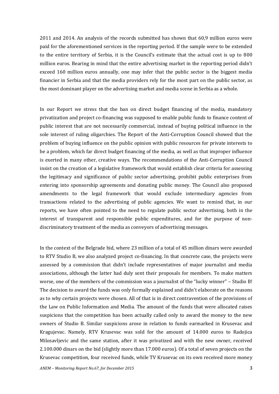2011 and 2014. An analysis of the records submitted has shown that 60,9 million euros were paid for the aforementioned services in the reporting period. If the sample were to be extended to the entire territory of Serbia, it is the Council's estimate that the actual cost is up to 800 million euros. Bearing in mind that the entire advertising market in the reporting period didn't exceed 160 million euros annually, one may infer that the public sector is the biggest media financier in Serbia and that the media providers rely for the most part on the public sector, as the most dominant player on the advertising market and media scene in Serbia as a whole.

In our Report we stress that the ban on direct budget financing of the media, mandatory privatization and project co-financing was supposed to enable public funds to finance content of public interest that are not necessarily commercial, instead of buying political influence in the sole interest of ruling oligarchies. The Report of the Anti-Corruption Council showed that the problem of buying influence on the public opinion with public resources for private interests to be a problem, which far direct budget financing of the media, as well as that improper influence is exerted in many other, creative ways. The recommendations of the Anti-Corruption Council insist on the creation of a legislative framework that would establish clear criteria for assessing the legitimacy and significance of public sector advertising, prohibit public enterprises from entering into sponsorship agreements and donating public money. The Council also proposed amendments to the legal framework that would exclude intermediary agencies from transactions related to the advertising of public agencies. We want to remind that, in our reports, we have often pointed to the need to regulate public sector advertising, both in the interest of transparent and responsible public expenditures, and for the purpose of nondiscriminatory treatment of the media as conveyors of advertising messages.

In the context of the Belgrade bid, where 23 million of a total of 45 million dinars were awarded to RTV Studio B, we also analyzed project co-financing. In that concrete case, the projects were assessed by a commission that didn't include representatives of major journalist and media associations, although the latter had duly sent their proposals for members. To make matters worse, one of the members of the commission was a journalist of the "lucky winner" – Studio B! The decision to award the funds was only formally explained and didn't elaborate on the reasons as to why certain projects were chosen. All of that is in direct contravention of the provisions of the Law on Public Information and Media. The amount of the funds that were allocated raises suspicions that the competition has been actually called only to award the money to the new owners of Studio B. Similar suspicions arose in relation to funds earmarked in Krusevac and Kragujevac. Namely, RTV Krusevac was sold for the amount of 14.000 euros to Radojica Milosavljevic and the same station, after it was privatized and with the new owner, received 2.100.000 dinars on the bid (slightly more than 17.000 euros). Of a total of seven projects on the Krusevac competition, four received funds, while TV Krusevac on its own received more money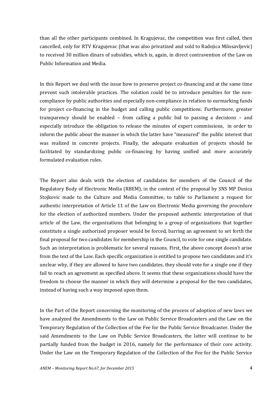than all the other participants combined. In Kragujevac, the competition was first called, then cancelled, only for RTV Kragujevac (that was also privatized and sold to Radojica Milosavljevic) to received 30 million dinars of subsidies, which is, again, in direct contravention of the Law on Public Information and Media.

In this Report we deal with the issue how to preserve project co-financing and at the same time prevent such intolerable practices. The solution could be to introduce penalties for the noncompliance by public authorities and especially non-compliance in relation to earmarking funds for project co-financing in the budget and calling public competitions. Furthermore, greater transparency should be enabled – from calling a public bid to passing a decisions – and especially introduce the obligation to release the minutes of expert commissions, in order to inform the public about the manner in which the latter have "measured" the public interest that was realized in concrete projects. Finally, the adequate evaluation of projects should be facilitated by standardizing public co-financing by having unified and more accurately formulated evaluation rules.

The Report also deals with the election of candidates for members of the Council of the Regulatory Body of Electronic Media (RBEM), in the context of the proposal by SNS MP Dusica Stojkovic made to the Culture and Media Committee, to table to Parliament a request for authentic interpretation of Article 11 of the Law on Electronic Media governing the procedure for the election of authorized members. Under the proposed authentic interpretation of that article of the Law, the organizations that belonging to a group of organizations that together constitute a single authorized proposer would be forced, barring an agreement to set forth the final proposal for two candidates for membership in the Council, to vote for one single candidate. Such an interpretation is problematic for several reasons. First, the above concept doesn't arise from the text of the Law. Each specific organization is entitled to propose two candidates and it's unclear why, if they are allowed to have two candidates, they should vote for a single one if they fail to reach an agreement as specified above. It seems that these organizations should have the freedom to choose the manner in which they will determine a proposal for the two candidates, instead of having such a way imposed upon them.

In the Part of the Report concerning the monitoring of the process of adoption of new laws we have analyzed the Amendments to the Law on Public Service Broadcasters and the Law on the Temporary Regulation of the Collection of the Fee for the Public Service Broadcaster. Under the said Amendments to the Law on Public Service Broadcasters, the latter will continue to be partially funded from the budget in 2016, namely for the performance of their core activity. Under the Law on the Temporary Regulation of the Collection of the Fee for the Public Service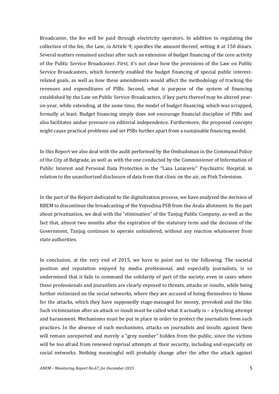Broadcaster, the fee will be paid through electricity operators. In addition to regulating the collection of the fee, the Law, in Article 9, specifies the amount thereof, setting it at 150 dinars. Several matters remained unclear after such an extension of budget financing of the core activity of the Public Service Broadcaster. First, it's not clear how the provisions of the Law on Public Service Broadcasters, which formerly enabled the budget financing of special public interestrelated goals, as well as how these amendments would affect the methodology of tracking the revenues and expenditures of PSBs. Second, what is purpose of the system of financing established by the Law on Public Service Broadcasters, if key parts thereof may be altered yearon-year, while extending, at the same time, the model of budget financing, which was scrapped, formally at least. Budget financing simply does not encourage financial discipline of PSBs and also facilitates undue pressure on editorial independence. Furthermore, the proposed concepts might cause practical problems and set PSBs further apart from a sustainable financing model.

In this Report we also deal with the audit performed by the Ombudsman in the Communal Police of the City of Belgrade, as well as with the one conducted by the Commissioner of Information of Public Interest and Personal Data Protection in the "Laza Lazarevic" Psychiatric Hospital, in relation to the unauthorized disclosure of data from that clinic on the air, on Pink Television.

In the part of the Report dedicated to the digitalization process, we have analyzed the decision of RBEM to discontinue the broadcasting of the Vojvodina PSB from the Avala allotment. In the part about privatization, we deal with the "elimination" of the Tanjug Public Company, as well as the fact that, almost two months after the expiration of the statutory term and the decision of the Government, Tanjug continues to operate unhindered, without any reaction whatsoever from state authorities.

In conclusion, at the very end of 2015, we have to point out to the following. The societal position and reputation enjoyed by media professional, and especially journalists, is so undermined that it fails to command the solidarity of part of the society, even in cases where these professionals and jouranlists are clearly exposed to threats, attacks or insults, while being further victimized on the social networks, where they are accused of being themselves to blame for the attacks, which they have supposedly stage-managed for money, provoked and the like. Such victimization after an attack or insult must be called what it actually is – a lynching attempt and harassment. Mechanisms must be put in place in order to protect the journalists from such practices. In the absence of such mechanisms, attacks on journalists and insults against them will remain unreported and merely a "grey number" hidden from the public, since the victims will be too afraid from renewed reprisal attempts at their security, including and especially on social networks. Nothing meaningful will probably change after the after the attack against